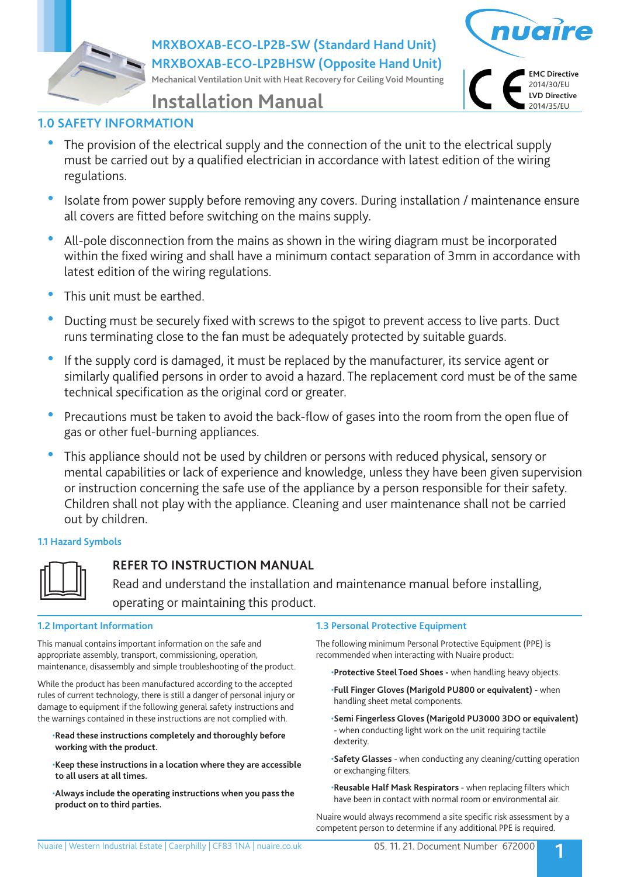**MRXBOXAB-ECO-LP2B-SW (Standard Hand Unit) MRXBOXAB-ECO-LP2BHSW (Opposite Hand Unit)**

**Mechanical Ventilation Unit with Heat Recovery for Ceiling Void Mounting**



# **Installation Manual**

## **1.0 SAFETY INFORMATION**

- The provision of the electrical supply and the connection of the unit to the electrical supply must be carried out by a qualified electrician in accordance with latest edition of the wiring regulations.
- Isolate from power supply before removing any covers. During installation / maintenance ensure all covers are fitted before switching on the mains supply.
- All-pole disconnection from the mains as shown in the wiring diagram must be incorporated within the fixed wiring and shall have a minimum contact separation of 3mm in accordance with latest edition of the wiring regulations.
- This unit must be earthed.
- Ducting must be securely fixed with screws to the spigot to prevent access to live parts. Duct runs terminating close to the fan must be adequately protected by suitable guards.
- If the supply cord is damaged, it must be replaced by the manufacturer, its service agent or similarly qualified persons in order to avoid a hazard. The replacement cord must be of the same technical specification as the original cord or greater.
- Precautions must be taken to avoid the back-flow of gases into the room from the open flue of gas or other fuel-burning appliances.
- This appliance should not be used by children or persons with reduced physical, sensory or mental capabilities or lack of experience and knowledge, unless they have been given supervision or instruction concerning the safe use of the appliance by a person responsible for their safety. Children shall not play with the appliance. Cleaning and user maintenance shall not be carried out by children.

## **1.1 Hazard Symbols**



## **REFER TO INSTRUCTION MANUAL**

 Read and understand the installation and maintenance manual before installing, operating or maintaining this product.

### **1.2 Important Information**

This manual contains important information on the safe and appropriate assembly, transport, commissioning, operation, maintenance, disassembly and simple troubleshooting of the product.

While the product has been manufactured according to the accepted rules of current technology, there is still a danger of personal injury or damage to equipment if the following general safety instructions and the warnings contained in these instructions are not complied with.

- •**Read these instructions completely and thoroughly before working with the product.**
- •**Keep these instructions in a location where they are accessible to all users at all times.**
- •**Always include the operating instructions when you pass the product on to third parties.**

### **1.3 Personal Protective Equipment**

The following minimum Personal Protective Equipment (PPE) is recommended when interacting with Nuaire product:

•**Protective Steel Toed Shoes -** when handling heavy objects.

- •**Full Finger Gloves (Marigold PU800 or equivalent)** when handling sheet metal components.
- •**Semi Fingerless Gloves (Marigold PU3000 3DO or equivalent)**  - when conducting light work on the unit requiring tactile dexterity.
- •**Safety Glasses** when conducting any cleaning/cutting operation or exchanging filters.
- •**Reusable Half Mask Respirators**  when replacing filters which have been in contact with normal room or environmental air.

Nuaire would always recommend a site specific risk assessment by a competent person to determine if any additional PPE is required.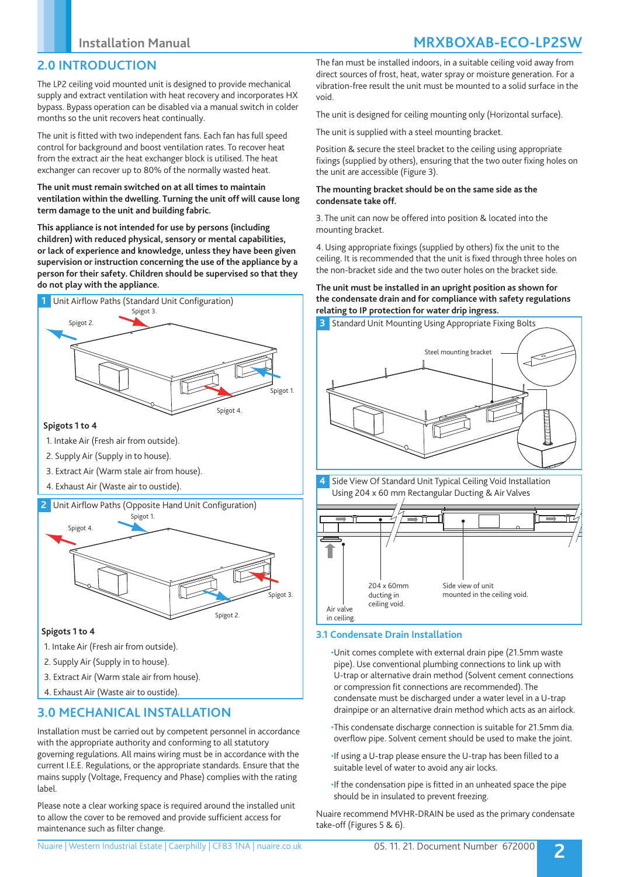## **2.0 INTRODUCTION**

The LP2 ceiling void mounted unit is designed to provide mechanical supply and extract ventilation with heat recovery and incorporates HX bypass. Bypass operation can be disabled via a manual switch in colder months so the unit recovers heat continually.

The unit is fitted with two independent fans. Each fan has full speed control for background and boost ventilation rates. To recover heat from the extract air the heat exchanger block is utilised. The heat exchanger can recover up to 80% of the normally wasted heat.

### **The unit must remain switched on at all times to maintain ventilation within the dwelling. Turning the unit off will cause long term damage to the unit and building fabric.**

**This appliance is not intended for use by persons (including children) with reduced physical, sensory or mental capabilities, or lack of experience and knowledge, unless they have been given supervision or instruction concerning the use of the appliance by a person for their safety. Children should be supervised so that they do not play with the appliance.**



- 1. Intake Air (Fresh air from outside).
- 2. Supply Air (Supply in to house).
- 3. Extract Air (Warm stale air from house).
- 4. Exhaust Air (Waste air to oustide).
- **2** Unit Airflow Paths (Opposite Hand Unit Configuration)



### **Spigots 1 to 4**

- 1. Intake Air (Fresh air from outside).
- 2. Supply Air (Supply in to house).
- 3. Extract Air (Warm stale air from house).
- 4. Exhaust Air (Waste air to oustide).

## **3.0 MECHANICAL INSTALLATION**

Installation must be carried out by competent personnel in accordance with the appropriate authority and conforming to all statutory governing regulations. All mains wiring must be in accordance with the current I.E.E. Regulations, or the appropriate standards. Ensure that the mains supply (Voltage, Frequency and Phase) complies with the rating label.

Please note a clear working space is required around the installed unit to allow the cover to be removed and provide sufficient access for maintenance such as filter change.

## **Installation Manual MRXBOXAB-ECO-LP2SW**

The fan must be installed indoors, in a suitable ceiling void away from direct sources of frost, heat, water spray or moisture generation. For a vibration-free result the unit must be mounted to a solid surface in the void.

The unit is designed for ceiling mounting only (Horizontal surface).

The unit is supplied with a steel mounting bracket.

Position & secure the steel bracket to the ceiling using appropriate fixings (supplied by others), ensuring that the two outer fixing holes on the unit are accessible (Figure 3).

### **The mounting bracket should be on the same side as the condensate take off.**

3. The unit can now be offered into position & located into the mounting bracket.

4. Using appropriate fixings (supplied by others) fix the unit to the ceiling. It is recommended that the unit is fixed through three holes on the non-bracket side and the two outer holes on the bracket side.

### **The unit must be installed in an upright position as shown for the condensate drain and for compliance with safety regulations relating to IP protection for water drip ingress.**





### **3.1 Condensate Drain Installation**

•Unit comes complete with external drain pipe (21.5mm waste pipe). Use conventional plumbing connections to link up with U-trap or alternative drain method (Solvent cement connections or compression fit connections are recommended). The condensate must be discharged under a water level in a U-trap drainpipe or an alternative drain method which acts as an airlock.

- •This condensate discharge connection is suitable for 21.5mm dia. overflow pipe. Solvent cement should be used to make the joint.
- •If using a U-trap please ensure the U-trap has been filled to a suitable level of water to avoid any air locks.
- •If the condensation pipe is fitted in an unheated space the pipe should be in insulated to prevent freezing.

Nuaire recommend MVHR-DRAIN be used as the primary condensate take-off (Figures 5 & 6).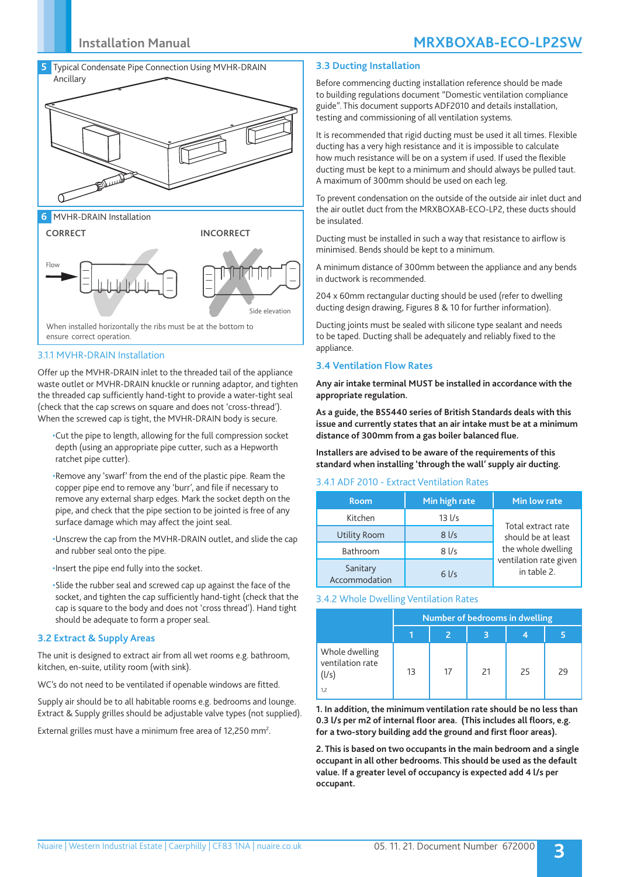## **Installation Manual MRXBOXAB-ECO-LP2SW**



**6** MVHR-DRAIN Installation



3.1.1 MVHR-DRAIN Installation

Offer up the MVHR-DRAIN inlet to the threaded tail of the appliance waste outlet or MVHR-DRAIN knuckle or running adaptor, and tighten the threaded cap sufficiently hand-tight to provide a water-tight seal (check that the cap screws on square and does not 'cross-thread'). When the screwed cap is tight, the MVHR-DRAIN body is secure.

•Cut the pipe to length, allowing for the full compression socket depth (using an appropriate pipe cutter, such as a Hepworth ratchet pipe cutter).

•Remove any 'swarf' from the end of the plastic pipe. Ream the copper pipe end to remove any 'burr', and file if necessary to remove any external sharp edges. Mark the socket depth on the pipe, and check that the pipe section to be jointed is free of any surface damage which may affect the joint seal.

•Unscrew the cap from the MVHR-DRAIN outlet, and slide the cap and rubber seal onto the pipe.

•Insert the pipe end fully into the socket.

•Slide the rubber seal and screwed cap up against the face of the socket, and tighten the cap sufficiently hand-tight (check that the cap is square to the body and does not 'cross thread'). Hand tight should be adequate to form a proper seal.

### **3.2 Extract & Supply Areas**

The unit is designed to extract air from all wet rooms e.g. bathroom, kitchen, en-suite, utility room (with sink).

WC's do not need to be ventilated if openable windows are fitted.

Supply air should be to all habitable rooms e.g. bedrooms and lounge. Extract & Supply grilles should be adjustable valve types (not supplied).

External grilles must have a minimum free area of 12,250 mm<sup>2</sup>.

### **3.3 Ducting Installation**

Before commencing ducting installation reference should be made to building regulations document "Domestic ventilation compliance guide". This document supports ADF2010 and details installation, testing and commissioning of all ventilation systems.

It is recommended that rigid ducting must be used it all times. Flexible ducting has a very high resistance and it is impossible to calculate how much resistance will be on a system if used. If used the flexible ducting must be kept to a minimum and should always be pulled taut. A maximum of 300mm should be used on each leg.

To prevent condensation on the outside of the outside air inlet duct and the air outlet duct from the MRXBOXAB-ECO-LP2, these ducts should be insulated.

Ducting must be installed in such a way that resistance to airflow is minimised. Bends should be kept to a minimum.

A minimum distance of 300mm between the appliance and any bends in ductwork is recommended.

204 x 60mm rectangular ducting should be used (refer to dwelling ducting design drawing, Figures 8 & 10 for further information).

Ducting joints must be sealed with silicone type sealant and needs to be taped. Ducting shall be adequately and reliably fixed to the appliance.

### **3.4 Ventilation Flow Rates**

**Any air intake terminal MUST be installed in accordance with the appropriate regulation.**

**As a guide, the BS5440 series of British Standards deals with this issue and currently states that an air intake must be at a minimum distance of 300mm from a gas boiler balanced flue.**

**Installers are advised to be aware of the requirements of this standard when installing 'through the wall' supply air ducting.**

#### 3.4.1 ADF 2010 - Extract Ventilation Rates

| <b>Room</b>               | Min high rate     | Min low rate                             |  |  |
|---------------------------|-------------------|------------------------------------------|--|--|
| Kitchen                   | $13$ $1/s$        | Total extract rate<br>should be at least |  |  |
| Utility Room              | $8$ I/s           |                                          |  |  |
| Bathroom                  | $8$ $\frac{1}{s}$ | the whole dwelling                       |  |  |
| Sanitary<br>Accommodation | $6$ I/s           | ventilation rate given<br>in table 2.    |  |  |

#### 3.4.2 Whole Dwelling Ventilation Rates

|                                             | Number of bedrooms in dwelling |    |    |    |    |  |
|---------------------------------------------|--------------------------------|----|----|----|----|--|
|                                             |                                |    |    |    |    |  |
| Whole dwelling<br>ventilation rate<br>(l/s) | 13                             | 17 | 21 | 25 | 29 |  |
| 1.2                                         |                                |    |    |    |    |  |

**1. In addition, the minimum ventilation rate should be no less than 0.3 l/s per m2 of internal floor area. (This includes all floors, e.g. for a two-story building add the ground and first floor areas).**

**2. This is based on two occupants in the main bedroom and a single occupant in all other bedrooms. This should be used as the default value. If a greater level of occupancy is expected add 4 l/s per occupant.**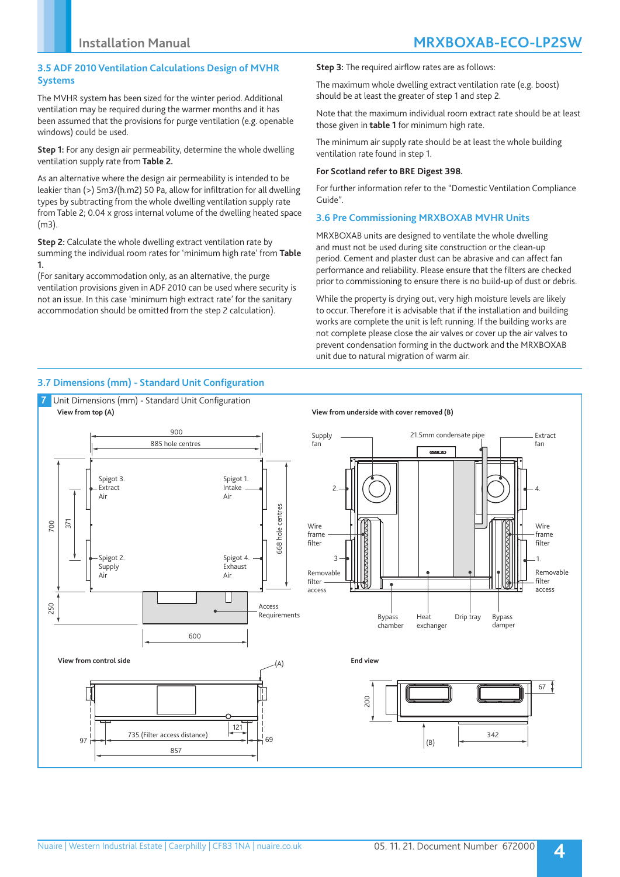### **3.5 ADF 2010 Ventilation Calculations Design of MVHR Systems**

The MVHR system has been sized for the winter period. Additional ventilation may be required during the warmer months and it has been assumed that the provisions for purge ventilation (e.g. openable windows) could be used.

**Step 1:** For any design air permeability, determine the whole dwelling ventilation supply rate from **Table 2.**

As an alternative where the design air permeability is intended to be leakier than (>) 5m3/(h.m2) 50 Pa, allow for infiltration for all dwelling types by subtracting from the whole dwelling ventilation supply rate from Table 2; 0.04 x gross internal volume of the dwelling heated space (m3).

**Step 2:** Calculate the whole dwelling extract ventilation rate by summing the individual room rates for 'minimum high rate' from **Table 1.** 

(For sanitary accommodation only, as an alternative, the purge ventilation provisions given in ADF 2010 can be used where security is not an issue. In this case 'minimum high extract rate' for the sanitary accommodation should be omitted from the step 2 calculation).

**Step 3:** The required airflow rates are as follows:

The maximum whole dwelling extract ventilation rate (e.g. boost) should be at least the greater of step 1 and step 2.

Note that the maximum individual room extract rate should be at least those given in **table 1** for minimum high rate.

The minimum air supply rate should be at least the whole building ventilation rate found in step 1.

### **For Scotland refer to BRE Digest 398.**

For further information refer to the "Domestic Ventilation Compliance Guide".

### **3.6 Pre Commissioning MRXBOXAB MVHR Units**

MRXBOXAB units are designed to ventilate the whole dwelling and must not be used during site construction or the clean-up period. Cement and plaster dust can be abrasive and can affect fan performance and reliability. Please ensure that the filters are checked prior to commissioning to ensure there is no build-up of dust or debris.

While the property is drying out, very high moisture levels are likely to occur. Therefore it is advisable that if the installation and building works are complete the unit is left running. If the building works are not complete please close the air valves or cover up the air valves to prevent condensation forming in the ductwork and the MRXBOXAB unit due to natural migration of warm air.

### **3.7 Dimensions (mm) - Standard Unit Configuration**

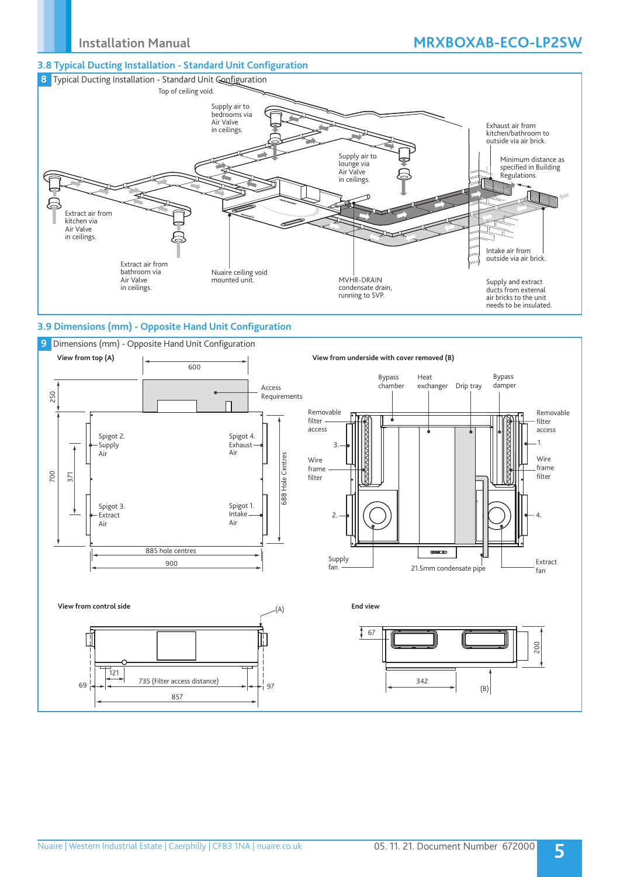### **3.8 Typical Ducting Installation - Standard Unit Configuration**



### **3.9 Dimensions (mm) - Opposite Hand Unit Configuration**

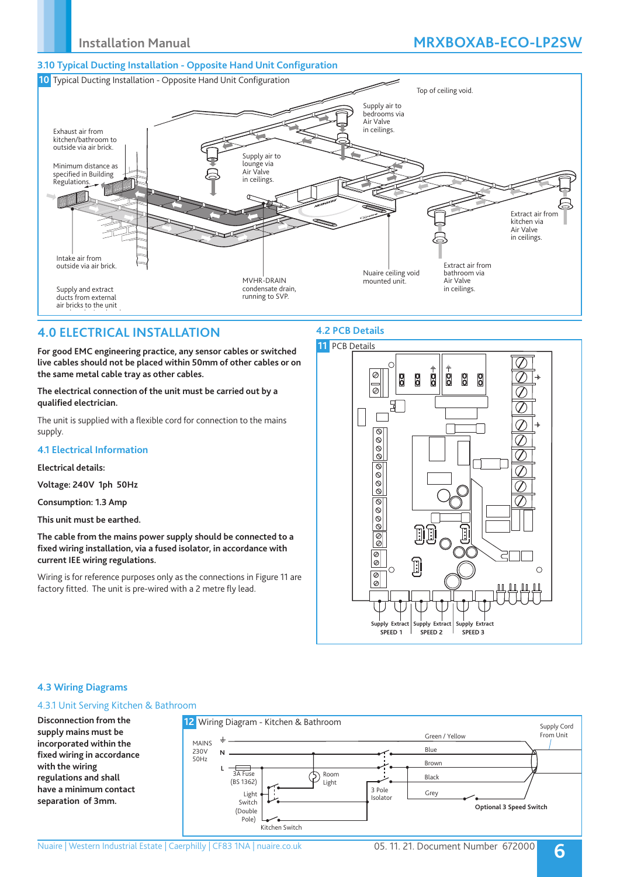## **Installation Manual MRXBOXAB-ECO-LP2SW**

### **3.10 Typical Ducting Installation - Opposite Hand Unit Configuration**



## **4.0 ELECTRICAL INSTALLATION**

**For good EMC engineering practice, any sensor cables or switched live cables should not be placed within 50mm of other cables or on the same metal cable tray as other cables.**

**The electrical connection of the unit must be carried out by a qualified electrician.** 

The unit is supplied with a flexible cord for connection to the mains supply.

### **4.1 Electrical Information**

### **Electrical details:**

**Voltage: 240V 1ph 50Hz**

**Consumption: 1.3 Amp** 

**This unit must be earthed.**

**The cable from the mains power supply should be connected to a fixed wiring installation, via a fused isolator, in accordance with current IEE wiring regulations.**

Wiring is for reference purposes only as the connections in Figure 11 are factory fitted. The unit is pre-wired with a 2 metre fly lead.

### **4.2 PCB Details**



### **4.3 Wiring Diagrams**

### 4.3.1 Unit Serving Kitchen & Bathroom

**Disconnection from the supply mains must be incorporated within the fixed wiring in accordance with the wiring regulations and shall have a minimum contact separation of 3mm.** 3A Fuse (BS 1362) MAINS 230V 50Hz Light Room Light Switch (Double Pole) **N L** 3 Pole Isolator Kitchen Switch Blue Brown Black **Optional 3 Speed Switch** Supply Cord From Unit Grey Green / Yellow **12** Wiring Diagram - Kitchen & Bathroom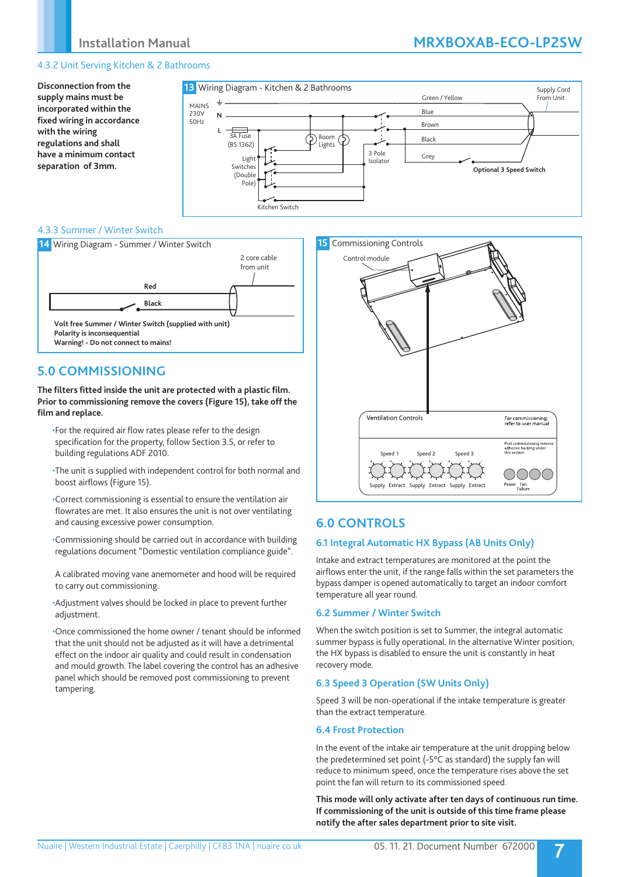### 4.3.2 Unit Serving Kitchen & 2 Bathrooms

**Disconnection from the supply mains must be incorporated within the fixed wiring in accordance with the wiring regulations and shall have a minimum contact separation of 3mm.**



### 4.3.3 Summer / Winter Switch



## **5.0 COMMISSIONING**

**The filters fitted inside the unit are protected with a plastic film. Prior to commissioning remove the covers (Figure 15), take off the film and replace.**

- •For the required air flow rates please refer to the design specification for the property, follow Section 3.5, or refer to building regulations ADF 2010.
- •The unit is supplied with independent control for both normal and boost airflows (Figure 15).
- •Correct commissioning is essential to ensure the ventilation air flowrates are met. It also ensures the unit is not over ventilating and causing excessive power consumption.
- •Commissioning should be carried out in accordance with building regulations document "Domestic ventilation compliance guide".
- A calibrated moving vane anemometer and hood will be required to carry out commissioning.
- •Adjustment valves should be locked in place to prevent further adjustment.

•Once commissioned the home owner / tenant should be informed that the unit should not be adjusted as it will have a detrimental effect on the indoor air quality and could result in condensation and mould growth. The label covering the control has an adhesive panel which should be removed post commissioning to prevent tampering.



## **6.0 CONTROLS**

### **6.1 Integral Automatic HX Bypass (AB Units Only)**

Intake and extract temperatures are monitored at the point the airflows enter the unit, if the range falls within the set parameters the bypass damper is opened automatically to target an indoor comfort temperature all year round.

### **6.2 Summer / Winter Switch**

When the switch position is set to Summer, the integral automatic summer bypass is fully operational. In the alternative Winter position, the HX bypass is disabled to ensure the unit is constantly in heat recovery mode.

### **6.3 Speed 3 Operation (SW Units Only)**

Speed 3 will be non-operational if the intake temperature is greater than the extract temperature.

#### **6.4 Frost Protection**

In the event of the intake air temperature at the unit dropping below the predetermined set point (-5°C as standard) the supply fan will reduce to minimum speed, once the temperature rises above the set point the fan will return to its commissioned speed.

**This mode will only activate after ten days of continuous run time. If commissioning of the unit is outside of this time frame please notify the after sales department prior to site visit.**